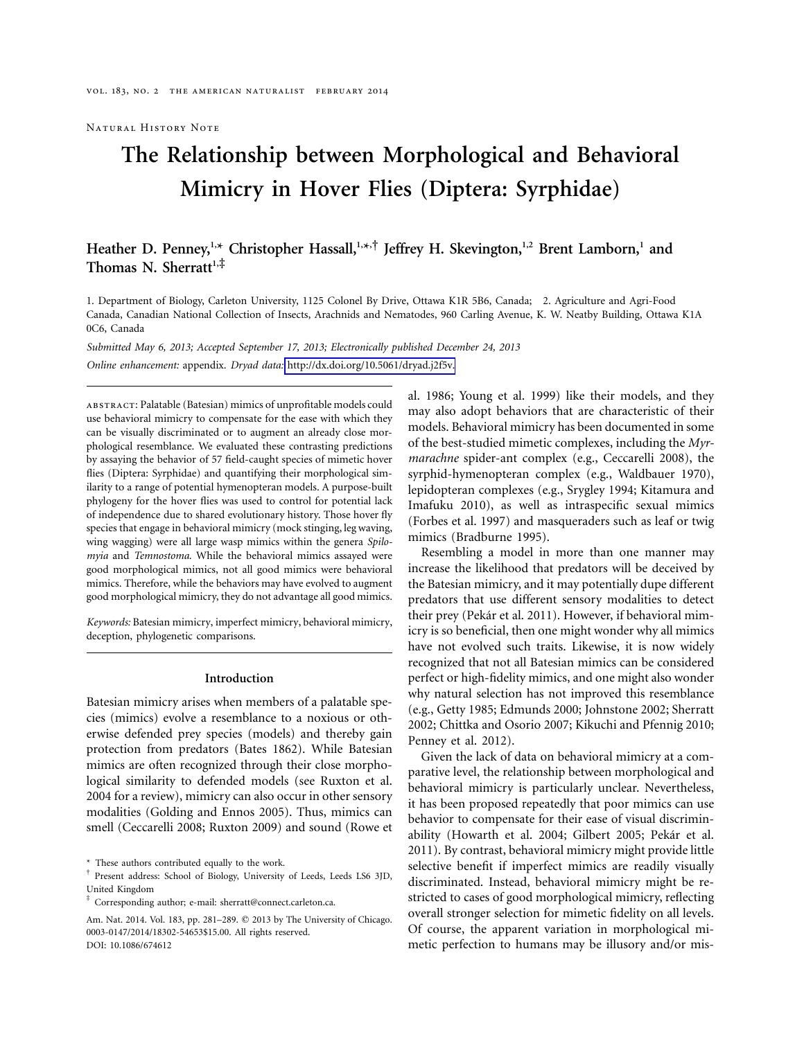Natural History Note

# **The Relationship between Morphological and Behavioral Mimicry in Hover Flies (Diptera: Syrphidae)**

# Heather D. Penney,<sup>1,\*</sup> Christopher Hassall,<sup>1,\*,†</sup> Jeffrey H. Skevington,<sup>1,2</sup> Brent Lamborn,<sup>1</sup> and Thomas N. Sherratt<sup>1,‡</sup>

1. Department of Biology, Carleton University, 1125 Colonel By Drive, Ottawa K1R 5B6, Canada; 2. Agriculture and Agri-Food Canada, Canadian National Collection of Insects, Arachnids and Nematodes, 960 Carling Avenue, K. W. Neatby Building, Ottawa K1A 0C6, Canada

*Submitted May 6, 2013; Accepted September 17, 2013; Electronically published December 24, 2013 Online enhancement:* appendix. *Dryad data:* [http://dx.doi.org/10.5061/dryad.j2f5v.](http://dx.doi.org/10.5061/dryad.j2f5v)

abstract: Palatable (Batesian) mimics of unprofitable models could use behavioral mimicry to compensate for the ease with which they can be visually discriminated or to augment an already close morphological resemblance. We evaluated these contrasting predictions by assaying the behavior of 57 field-caught species of mimetic hover flies (Diptera: Syrphidae) and quantifying their morphological similarity to a range of potential hymenopteran models. A purpose-built phylogeny for the hover flies was used to control for potential lack of independence due to shared evolutionary history. Those hover fly species that engage in behavioral mimicry (mock stinging, leg waving, wing wagging) were all large wasp mimics within the genera *Spilomyia* and *Temnostoma*. While the behavioral mimics assayed were good morphological mimics, not all good mimics were behavioral mimics. Therefore, while the behaviors may have evolved to augment good morphological mimicry, they do not advantage all good mimics.

*Keywords:* Batesian mimicry, imperfect mimicry, behavioral mimicry, deception, phylogenetic comparisons.

#### **Introduction**

Batesian mimicry arises when members of a palatable species (mimics) evolve a resemblance to a noxious or otherwise defended prey species (models) and thereby gain protection from predators (Bates 1862). While Batesian mimics are often recognized through their close morphological similarity to defended models (see Ruxton et al. 2004 for a review), mimicry can also occur in other sensory modalities (Golding and Ennos 2005). Thus, mimics can smell (Ceccarelli 2008; Ruxton 2009) and sound (Rowe et

\* These authors contributed equally to the work.

al. 1986; Young et al. 1999) like their models, and they may also adopt behaviors that are characteristic of their models. Behavioral mimicry has been documented in some of the best-studied mimetic complexes, including the *Myrmarachne* spider-ant complex (e.g., Ceccarelli 2008), the syrphid-hymenopteran complex (e.g., Waldbauer 1970), lepidopteran complexes (e.g., Srygley 1994; Kitamura and Imafuku 2010), as well as intraspecific sexual mimics (Forbes et al. 1997) and masqueraders such as leaf or twig mimics (Bradburne 1995).

Resembling a model in more than one manner may increase the likelihood that predators will be deceived by the Batesian mimicry, and it may potentially dupe different predators that use different sensory modalities to detect their prey (Pekár et al. 2011). However, if behavioral mimicry is so beneficial, then one might wonder why all mimics have not evolved such traits. Likewise, it is now widely recognized that not all Batesian mimics can be considered perfect or high-fidelity mimics, and one might also wonder why natural selection has not improved this resemblance (e.g., Getty 1985; Edmunds 2000; Johnstone 2002; Sherratt 2002; Chittka and Osorio 2007; Kikuchi and Pfennig 2010; Penney et al. 2012).

Given the lack of data on behavioral mimicry at a comparative level, the relationship between morphological and behavioral mimicry is particularly unclear. Nevertheless, it has been proposed repeatedly that poor mimics can use behavior to compensate for their ease of visual discriminability (Howarth et al. 2004; Gilbert 2005; Pekár et al. 2011). By contrast, behavioral mimicry might provide little selective benefit if imperfect mimics are readily visually discriminated. Instead, behavioral mimicry might be restricted to cases of good morphological mimicry, reflecting overall stronger selection for mimetic fidelity on all levels. Of course, the apparent variation in morphological mimetic perfection to humans may be illusory and/or mis-

<sup>†</sup> Present address: School of Biology, University of Leeds, Leeds LS6 3JD, United Kingdom

<sup>‡</sup> Corresponding author; e-mail: [sherratt@connect.carleton.ca.](mailto:sherratt@connect.carleton.ca)

Am. Nat. 2014. Vol. 183, pp. 281-289. © 2013 by The University of Chicago. 0003-0147/2014/18302-54653\$15.00. All rights reserved. DOI: 10.1086/674612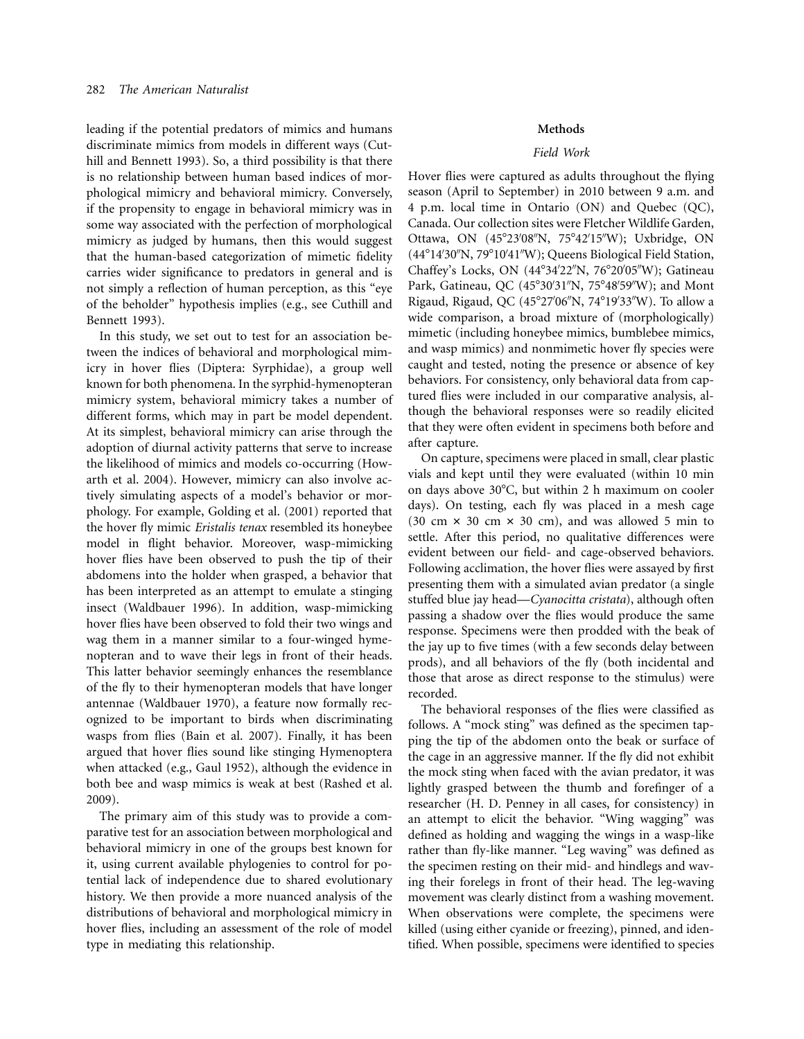leading if the potential predators of mimics and humans discriminate mimics from models in different ways (Cuthill and Bennett 1993). So, a third possibility is that there is no relationship between human based indices of morphological mimicry and behavioral mimicry. Conversely, if the propensity to engage in behavioral mimicry was in some way associated with the perfection of morphological mimicry as judged by humans, then this would suggest that the human-based categorization of mimetic fidelity carries wider significance to predators in general and is not simply a reflection of human perception, as this "eye of the beholder" hypothesis implies (e.g., see Cuthill and Bennett 1993).

In this study, we set out to test for an association between the indices of behavioral and morphological mimicry in hover flies (Diptera: Syrphidae), a group well known for both phenomena. In the syrphid-hymenopteran mimicry system, behavioral mimicry takes a number of different forms, which may in part be model dependent. At its simplest, behavioral mimicry can arise through the adoption of diurnal activity patterns that serve to increase the likelihood of mimics and models co-occurring (Howarth et al. 2004). However, mimicry can also involve actively simulating aspects of a model's behavior or morphology. For example, Golding et al. (2001) reported that the hover fly mimic *Eristalis tenax* resembled its honeybee model in flight behavior. Moreover, wasp-mimicking hover flies have been observed to push the tip of their abdomens into the holder when grasped, a behavior that has been interpreted as an attempt to emulate a stinging insect (Waldbauer 1996). In addition, wasp-mimicking hover flies have been observed to fold their two wings and wag them in a manner similar to a four-winged hymenopteran and to wave their legs in front of their heads. This latter behavior seemingly enhances the resemblance of the fly to their hymenopteran models that have longer antennae (Waldbauer 1970), a feature now formally recognized to be important to birds when discriminating wasps from flies (Bain et al. 2007). Finally, it has been argued that hover flies sound like stinging Hymenoptera when attacked (e.g., Gaul 1952), although the evidence in both bee and wasp mimics is weak at best (Rashed et al. 2009).

The primary aim of this study was to provide a comparative test for an association between morphological and behavioral mimicry in one of the groups best known for it, using current available phylogenies to control for potential lack of independence due to shared evolutionary history. We then provide a more nuanced analysis of the distributions of behavioral and morphological mimicry in hover flies, including an assessment of the role of model type in mediating this relationship.

# **Methods**

# *Field Work*

Hover flies were captured as adults throughout the flying season (April to September) in 2010 between 9 a.m. and 4 p.m. local time in Ontario (ON) and Quebec (QC), Canada. Our collection sites were Fletcher Wildlife Garden, Ottawa, ON (45°23'08"N, 75°42'15"W); Uxbridge, ON (44°14'30"N, 79°10'41"W); Queens Biological Field Station, Chaffey's Locks, ON (44°34'22"N, 76°20'05"W); Gatineau Park, Gatineau, QC (45°30'31"N, 75°48'59"W); and Mont Rigaud, Rigaud, QC (45°27'06"N, 74°19'33"W). To allow a wide comparison, a broad mixture of (morphologically) mimetic (including honeybee mimics, bumblebee mimics, and wasp mimics) and nonmimetic hover fly species were caught and tested, noting the presence or absence of key behaviors. For consistency, only behavioral data from captured flies were included in our comparative analysis, although the behavioral responses were so readily elicited that they were often evident in specimens both before and after capture.

On capture, specimens were placed in small, clear plastic vials and kept until they were evaluated (within 10 min on days above 30°C, but within 2 h maximum on cooler days). On testing, each fly was placed in a mesh cage  $(30 \text{ cm} \times 30 \text{ cm} \times 30 \text{ cm})$ , and was allowed 5 min to settle. After this period, no qualitative differences were evident between our field- and cage-observed behaviors. Following acclimation, the hover flies were assayed by first presenting them with a simulated avian predator (a single stuffed blue jay head—*Cyanocitta cristata*), although often passing a shadow over the flies would produce the same response. Specimens were then prodded with the beak of the jay up to five times (with a few seconds delay between prods), and all behaviors of the fly (both incidental and those that arose as direct response to the stimulus) were recorded.

The behavioral responses of the flies were classified as follows. A "mock sting" was defined as the specimen tapping the tip of the abdomen onto the beak or surface of the cage in an aggressive manner. If the fly did not exhibit the mock sting when faced with the avian predator, it was lightly grasped between the thumb and forefinger of a researcher (H. D. Penney in all cases, for consistency) in an attempt to elicit the behavior. "Wing wagging" was defined as holding and wagging the wings in a wasp-like rather than fly-like manner. "Leg waving" was defined as the specimen resting on their mid- and hindlegs and waving their forelegs in front of their head. The leg-waving movement was clearly distinct from a washing movement. When observations were complete, the specimens were killed (using either cyanide or freezing), pinned, and identified. When possible, specimens were identified to species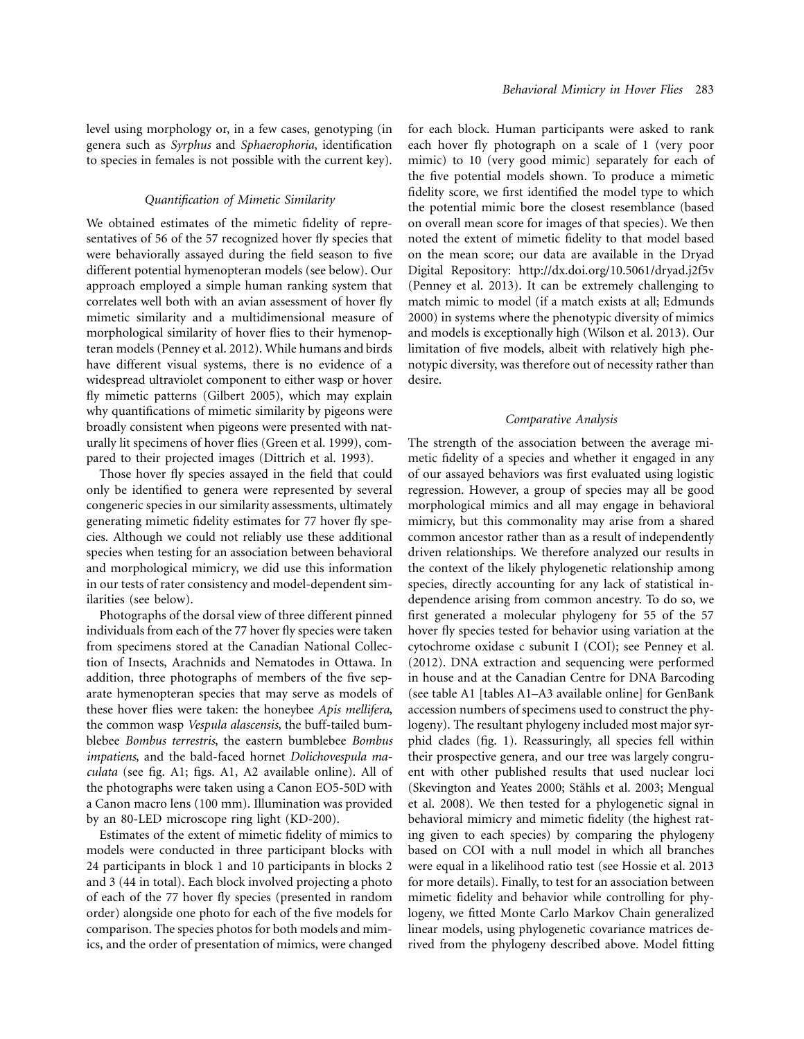level using morphology or, in a few cases, genotyping (in genera such as *Syrphus* and *Sphaerophoria*, identification to species in females is not possible with the current key).

#### *Quantification of Mimetic Similarity*

We obtained estimates of the mimetic fidelity of representatives of 56 of the 57 recognized hover fly species that were behaviorally assayed during the field season to five different potential hymenopteran models (see below). Our approach employed a simple human ranking system that correlates well both with an avian assessment of hover fly mimetic similarity and a multidimensional measure of morphological similarity of hover flies to their hymenopteran models (Penney et al. 2012). While humans and birds have different visual systems, there is no evidence of a widespread ultraviolet component to either wasp or hover fly mimetic patterns (Gilbert 2005), which may explain why quantifications of mimetic similarity by pigeons were broadly consistent when pigeons were presented with naturally lit specimens of hover flies (Green et al. 1999), compared to their projected images (Dittrich et al. 1993).

Those hover fly species assayed in the field that could only be identified to genera were represented by several congeneric species in our similarity assessments, ultimately generating mimetic fidelity estimates for 77 hover fly species. Although we could not reliably use these additional species when testing for an association between behavioral and morphological mimicry, we did use this information in our tests of rater consistency and model-dependent similarities (see below).

Photographs of the dorsal view of three different pinned individuals from each of the 77 hover fly species were taken from specimens stored at the Canadian National Collection of Insects, Arachnids and Nematodes in Ottawa. In addition, three photographs of members of the five separate hymenopteran species that may serve as models of these hover flies were taken: the honeybee *Apis mellifera*, the common wasp *Vespula alascensis*, the buff-tailed bumblebee *Bombus terrestris*, the eastern bumblebee *Bombus impatiens*, and the bald-faced hornet *Dolichovespula maculata* (see fig. A1; figs. A1, A2 available online). All of the photographs were taken using a Canon EO5-50D with a Canon macro lens (100 mm). Illumination was provided by an 80-LED microscope ring light (KD-200).

Estimates of the extent of mimetic fidelity of mimics to models were conducted in three participant blocks with 24 participants in block 1 and 10 participants in blocks 2 and 3 (44 in total). Each block involved projecting a photo of each of the 77 hover fly species (presented in random order) alongside one photo for each of the five models for comparison. The species photos for both models and mimics, and the order of presentation of mimics, were changed

for each block. Human participants were asked to rank each hover fly photograph on a scale of 1 (very poor mimic) to 10 (very good mimic) separately for each of the five potential models shown. To produce a mimetic fidelity score, we first identified the model type to which the potential mimic bore the closest resemblance (based on overall mean score for images of that species). We then noted the extent of mimetic fidelity to that model based on the mean score; our data are available in the Dryad Digital Repository:<http://dx.doi.org/10.5061/dryad.j2f5v> (Penney et al. 2013). It can be extremely challenging to match mimic to model (if a match exists at all; Edmunds 2000) in systems where the phenotypic diversity of mimics and models is exceptionally high (Wilson et al. 2013). Our limitation of five models, albeit with relatively high phenotypic diversity, was therefore out of necessity rather than desire.

# *Comparative Analysis*

The strength of the association between the average mimetic fidelity of a species and whether it engaged in any of our assayed behaviors was first evaluated using logistic regression. However, a group of species may all be good morphological mimics and all may engage in behavioral mimicry, but this commonality may arise from a shared common ancestor rather than as a result of independently driven relationships. We therefore analyzed our results in the context of the likely phylogenetic relationship among species, directly accounting for any lack of statistical independence arising from common ancestry. To do so, we first generated a molecular phylogeny for 55 of the 57 hover fly species tested for behavior using variation at the cytochrome oxidase c subunit I (COI); see Penney et al. (2012). DNA extraction and sequencing were performed in house and at the Canadian Centre for DNA Barcoding (see table A1 [tables A1–A3 available online] for GenBank accession numbers of specimens used to construct the phylogeny). The resultant phylogeny included most major syrphid clades (fig. 1). Reassuringly, all species fell within their prospective genera, and our tree was largely congruent with other published results that used nuclear loci (Skevington and Yeates 2000; Ståhls et al. 2003; Mengual et al. 2008). We then tested for a phylogenetic signal in behavioral mimicry and mimetic fidelity (the highest rating given to each species) by comparing the phylogeny based on COI with a null model in which all branches were equal in a likelihood ratio test (see Hossie et al. 2013 for more details). Finally, to test for an association between mimetic fidelity and behavior while controlling for phylogeny, we fitted Monte Carlo Markov Chain generalized linear models, using phylogenetic covariance matrices derived from the phylogeny described above. Model fitting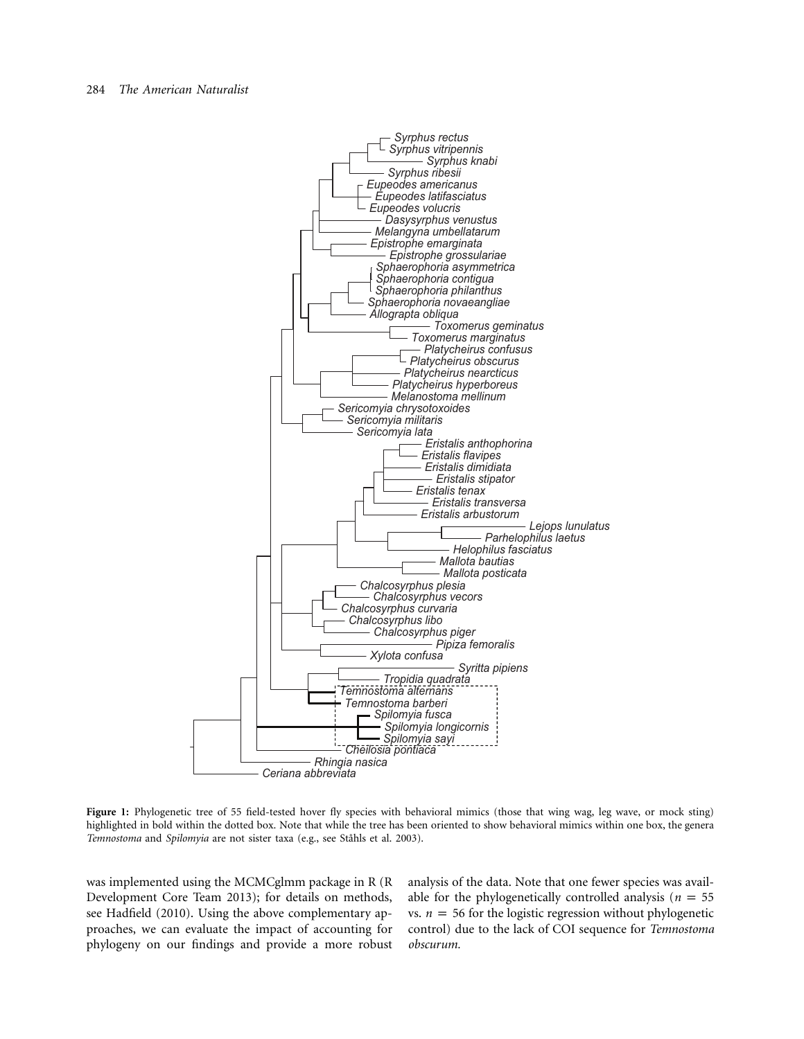

Figure 1: Phylogenetic tree of 55 field-tested hover fly species with behavioral mimics (those that wing wag, leg wave, or mock sting) highlighted in bold within the dotted box. Note that while the tree has been oriented to show behavioral mimics within one box, the genera *Temnostoma* and *Spilomyia* are not sister taxa (e.g., see Ståhls et al. 2003).

was implemented using the MCMCglmm package in R (R Development Core Team 2013); for details on methods, see Hadfield (2010). Using the above complementary approaches, we can evaluate the impact of accounting for phylogeny on our findings and provide a more robust

analysis of the data. Note that one fewer species was available for the phylogenetically controlled analysis ( $n = 55$ ) vs.  $n = 56$  for the logistic regression without phylogenetic control) due to the lack of COI sequence for *Temnostoma obscurum.*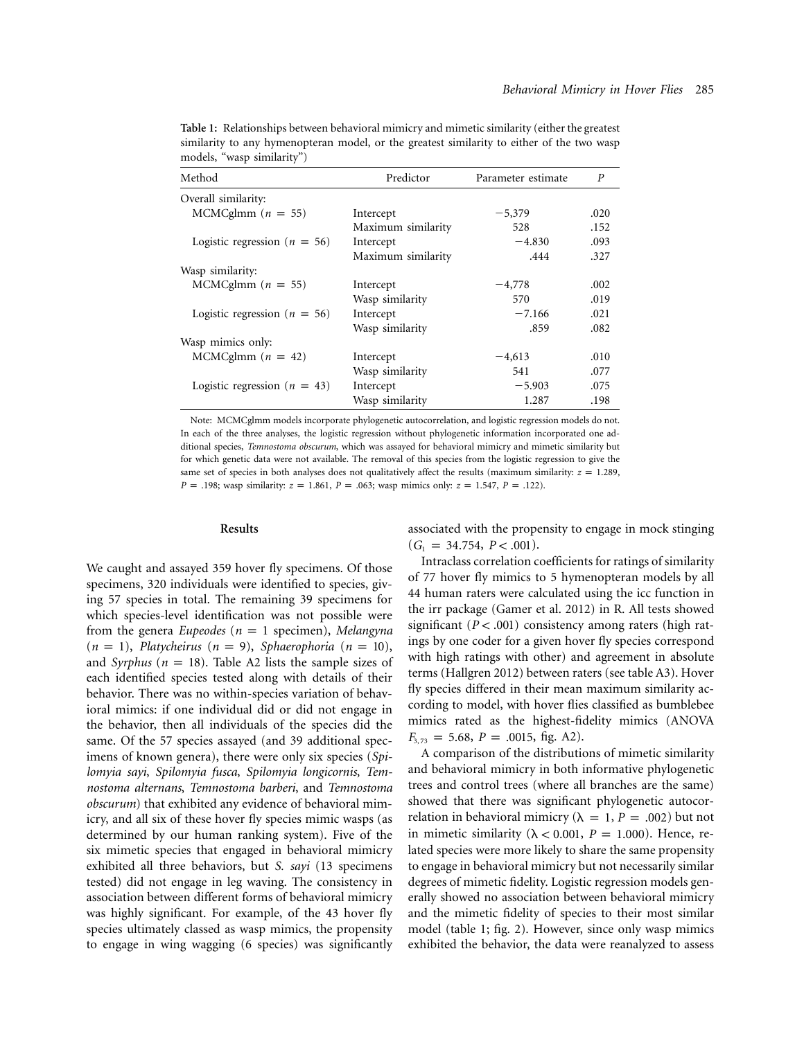| Method                           | Predictor          | Parameter estimate | P    |
|----------------------------------|--------------------|--------------------|------|
| Overall similarity:              |                    |                    |      |
| MCMCglmm $(n = 55)$              | Intercept          | $-5,379$           | .020 |
|                                  | Maximum similarity | 528                | .152 |
| Logistic regression ( $n = 56$ ) | Intercept          | $-4.830$           | .093 |
|                                  | Maximum similarity | .444               | .327 |
| Wasp similarity:                 |                    |                    |      |
| MCMCglmm $(n = 55)$              | Intercept          | $-4,778$           | .002 |
|                                  | Wasp similarity    | 570                | .019 |
| Logistic regression ( $n = 56$ ) | Intercept          | $-7.166$           | .021 |
|                                  | Wasp similarity    | .859               | .082 |
| Wasp mimics only:                |                    |                    |      |
| MCMCglmm $(n = 42)$              | Intercept          | $-4,613$           | .010 |
|                                  | Wasp similarity    | 541                | .077 |
| Logistic regression ( $n = 43$ ) | Intercept          | $-5.903$           | .075 |
|                                  | Wasp similarity    | 1.287              | .198 |

**Table 1:** Relationships between behavioral mimicry and mimetic similarity (either the greatest similarity to any hymenopteran model, or the greatest similarity to either of the two wasp models, "wasp similarity")

Note: MCMCglmm models incorporate phylogenetic autocorrelation, and logistic regression models do not. In each of the three analyses, the logistic regression without phylogenetic information incorporated one additional species, *Temnostoma obscurum*, which was assayed for behavioral mimicry and mimetic similarity but for which genetic data were not available. The removal of this species from the logistic regression to give the same set of species in both analyses does not qualitatively affect the results (maximum similarity:  $z = 1.289$ ,  $P = .198$ ; wasp similarity:  $z = 1.861$ ,  $P = .063$ ; wasp mimics only:  $z = 1.547$ ,  $P = .122$ ).

#### **Results**

We caught and assayed 359 hover fly specimens. Of those specimens, 320 individuals were identified to species, giving 57 species in total. The remaining 39 specimens for which species-level identification was not possible were from the genera *Eupeodes* ( $n = 1$  specimen), *Melangyna*  $(n = 1)$ , *Platycheirus*  $(n = 9)$ , *Sphaerophoria*  $(n = 10)$ , and *Syrphus* ( $n = 18$ ). Table A2 lists the sample sizes of each identified species tested along with details of their behavior. There was no within-species variation of behavioral mimics: if one individual did or did not engage in the behavior, then all individuals of the species did the same. Of the 57 species assayed (and 39 additional specimens of known genera), there were only six species (*Spilomyia sayi*, *Spilomyia fusca*, *Spilomyia longicornis*, *Temnostoma alternans*, *Temnostoma barberi*, and *Temnostoma obscurum*) that exhibited any evidence of behavioral mimicry, and all six of these hover fly species mimic wasps (as determined by our human ranking system). Five of the six mimetic species that engaged in behavioral mimicry exhibited all three behaviors, but *S. sayi* (13 specimens tested) did not engage in leg waving. The consistency in association between different forms of behavioral mimicry was highly significant. For example, of the 43 hover fly species ultimately classed as wasp mimics, the propensity to engage in wing wagging (6 species) was significantly

associated with the propensity to engage in mock stinging  $(G_1 = 34.754, P < .001).$ 

Intraclass correlation coefficients for ratings of similarity of 77 hover fly mimics to 5 hymenopteran models by all 44 human raters were calculated using the icc function in the irr package (Gamer et al. 2012) in R. All tests showed significant  $(P < .001)$  consistency among raters (high ratings by one coder for a given hover fly species correspond with high ratings with other) and agreement in absolute terms (Hallgren 2012) between raters (see table A3). Hover fly species differed in their mean maximum similarity according to model, with hover flies classified as bumblebee mimics rated as the highest-fidelity mimics (ANOVA  $F_{3, 73} = 5.68$ ,  $P = .0015$ , fig. A2).

A comparison of the distributions of mimetic similarity and behavioral mimicry in both informative phylogenetic trees and control trees (where all branches are the same) showed that there was significant phylogenetic autocorrelation in behavioral mimicry ( $\lambda = 1$ ,  $P = .002$ ) but not in mimetic similarity ( $\lambda$  < 0.001, *P* = 1.000). Hence, related species were more likely to share the same propensity to engage in behavioral mimicry but not necessarily similar degrees of mimetic fidelity. Logistic regression models generally showed no association between behavioral mimicry and the mimetic fidelity of species to their most similar model (table 1; fig. 2). However, since only wasp mimics exhibited the behavior, the data were reanalyzed to assess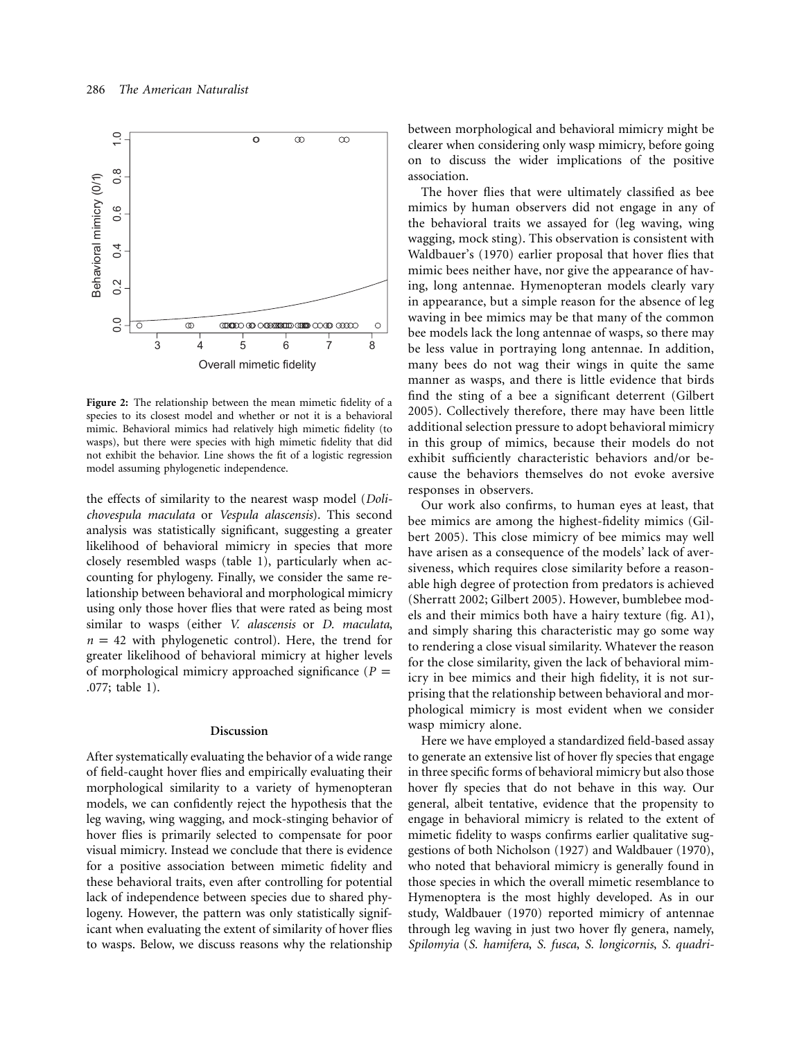

**Figure 2:** The relationship between the mean mimetic fidelity of a species to its closest model and whether or not it is a behavioral mimic. Behavioral mimics had relatively high mimetic fidelity (to wasps), but there were species with high mimetic fidelity that did not exhibit the behavior. Line shows the fit of a logistic regression model assuming phylogenetic independence.

the effects of similarity to the nearest wasp model (*Dolichovespula maculata* or *Vespula alascensis*). This second analysis was statistically significant, suggesting a greater likelihood of behavioral mimicry in species that more closely resembled wasps (table 1), particularly when accounting for phylogeny. Finally, we consider the same relationship between behavioral and morphological mimicry using only those hover flies that were rated as being most similar to wasps (either *V. alascensis* or *D. maculata*,  $n = 42$  with phylogenetic control). Here, the trend for greater likelihood of behavioral mimicry at higher levels of morphological mimicry approached significance ( $P =$ .077; table 1).

#### **Discussion**

After systematically evaluating the behavior of a wide range of field-caught hover flies and empirically evaluating their morphological similarity to a variety of hymenopteran models, we can confidently reject the hypothesis that the leg waving, wing wagging, and mock-stinging behavior of hover flies is primarily selected to compensate for poor visual mimicry. Instead we conclude that there is evidence for a positive association between mimetic fidelity and these behavioral traits, even after controlling for potential lack of independence between species due to shared phylogeny. However, the pattern was only statistically significant when evaluating the extent of similarity of hover flies to wasps. Below, we discuss reasons why the relationship

between morphological and behavioral mimicry might be clearer when considering only wasp mimicry, before going on to discuss the wider implications of the positive association.

The hover flies that were ultimately classified as bee mimics by human observers did not engage in any of the behavioral traits we assayed for (leg waving, wing wagging, mock sting). This observation is consistent with Waldbauer's (1970) earlier proposal that hover flies that mimic bees neither have, nor give the appearance of having, long antennae. Hymenopteran models clearly vary in appearance, but a simple reason for the absence of leg waving in bee mimics may be that many of the common bee models lack the long antennae of wasps, so there may be less value in portraying long antennae. In addition, many bees do not wag their wings in quite the same manner as wasps, and there is little evidence that birds find the sting of a bee a significant deterrent (Gilbert 2005). Collectively therefore, there may have been little additional selection pressure to adopt behavioral mimicry in this group of mimics, because their models do not exhibit sufficiently characteristic behaviors and/or because the behaviors themselves do not evoke aversive responses in observers.

Our work also confirms, to human eyes at least, that bee mimics are among the highest-fidelity mimics (Gilbert 2005). This close mimicry of bee mimics may well have arisen as a consequence of the models' lack of aversiveness, which requires close similarity before a reasonable high degree of protection from predators is achieved (Sherratt 2002; Gilbert 2005). However, bumblebee models and their mimics both have a hairy texture (fig. A1), and simply sharing this characteristic may go some way to rendering a close visual similarity. Whatever the reason for the close similarity, given the lack of behavioral mimicry in bee mimics and their high fidelity, it is not surprising that the relationship between behavioral and morphological mimicry is most evident when we consider wasp mimicry alone.

Here we have employed a standardized field-based assay to generate an extensive list of hover fly species that engage in three specific forms of behavioral mimicry but also those hover fly species that do not behave in this way. Our general, albeit tentative, evidence that the propensity to engage in behavioral mimicry is related to the extent of mimetic fidelity to wasps confirms earlier qualitative suggestions of both Nicholson (1927) and Waldbauer (1970), who noted that behavioral mimicry is generally found in those species in which the overall mimetic resemblance to Hymenoptera is the most highly developed. As in our study, Waldbauer (1970) reported mimicry of antennae through leg waving in just two hover fly genera, namely, *Spilomyia* (*S. hamifera*, *S. fusca*, *S. longicornis*, *S. quadri-*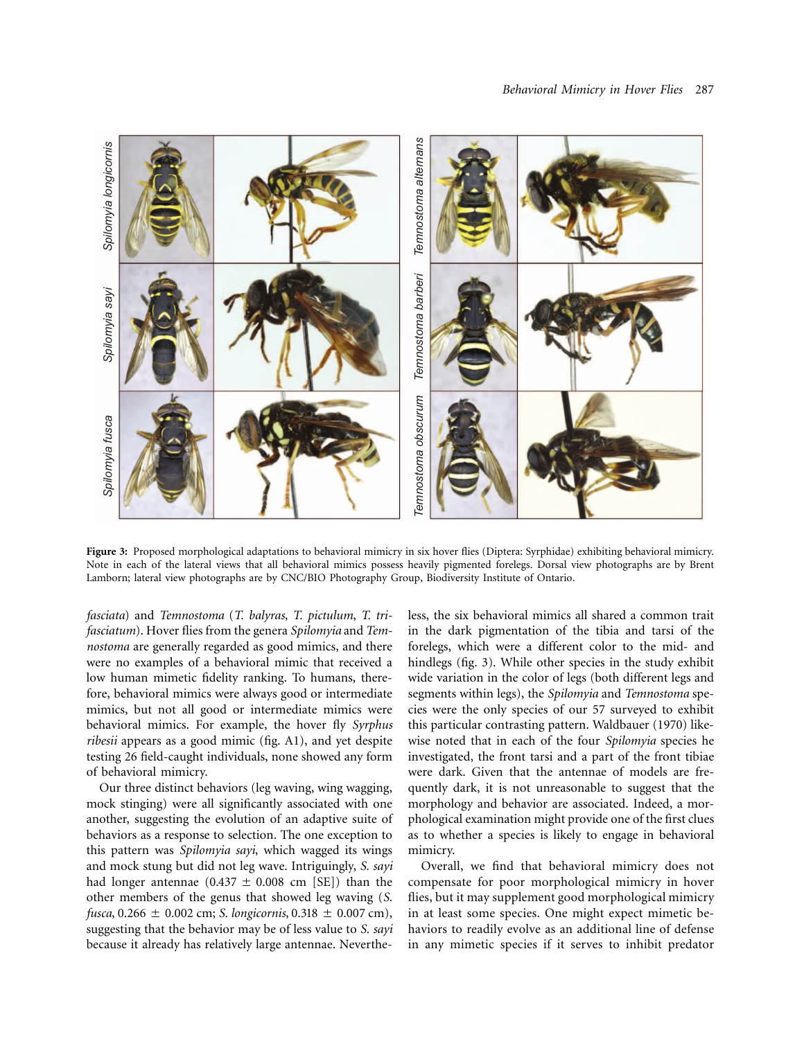

**Figure 3:** Proposed morphological adaptations to behavioral mimicry in six hover flies (Diptera: Syrphidae) exhibiting behavioral mimicry. Note in each of the lateral views that all behavioral mimics possess heavily pigmented forelegs. Dorsal view photographs are by Brent Lamborn; lateral view photographs are by CNC/BIO Photography Group, Biodiversity Institute of Ontario.

*fasciata*) and *Temnostoma* (*T. balyras*, *T. pictulum*, *T. trifasciatum*). Hover flies from the genera *Spilomyia* and *Temnostoma* are generally regarded as good mimics, and there were no examples of a behavioral mimic that received a low human mimetic fidelity ranking. To humans, therefore, behavioral mimics were always good or intermediate mimics, but not all good or intermediate mimics were behavioral mimics. For example, the hover fly *Syrphus ribesii* appears as a good mimic (fig. A1), and yet despite testing 26 field-caught individuals, none showed any form of behavioral mimicry.

Our three distinct behaviors (leg waving, wing wagging, mock stinging) were all significantly associated with one another, suggesting the evolution of an adaptive suite of behaviors as a response to selection. The one exception to this pattern was *Spilomyia sayi*, which wagged its wings and mock stung but did not leg wave. Intriguingly, *S. sayi* had longer antennae  $(0.437 \pm 0.008 \text{ cm}$  [SE]) than the other members of the genus that showed leg waving (*S. fusca*,  $0.266 \pm 0.002$  cm; *S. longicornis*,  $0.318 \pm 0.007$  cm), suggesting that the behavior may be of less value to *S. sayi* because it already has relatively large antennae. Nevertheless, the six behavioral mimics all shared a common trait in the dark pigmentation of the tibia and tarsi of the forelegs, which were a different color to the mid- and hindlegs (fig. 3). While other species in the study exhibit wide variation in the color of legs (both different legs and segments within legs), the *Spilomyia* and *Temnostoma* species were the only species of our 57 surveyed to exhibit this particular contrasting pattern. Waldbauer (1970) likewise noted that in each of the four *Spilomyia* species he investigated, the front tarsi and a part of the front tibiae were dark. Given that the antennae of models are frequently dark, it is not unreasonable to suggest that the morphology and behavior are associated. Indeed, a morphological examination might provide one of the first clues as to whether a species is likely to engage in behavioral mimicry.

Overall, we find that behavioral mimicry does not compensate for poor morphological mimicry in hover flies, but it may supplement good morphological mimicry in at least some species. One might expect mimetic behaviors to readily evolve as an additional line of defense in any mimetic species if it serves to inhibit predator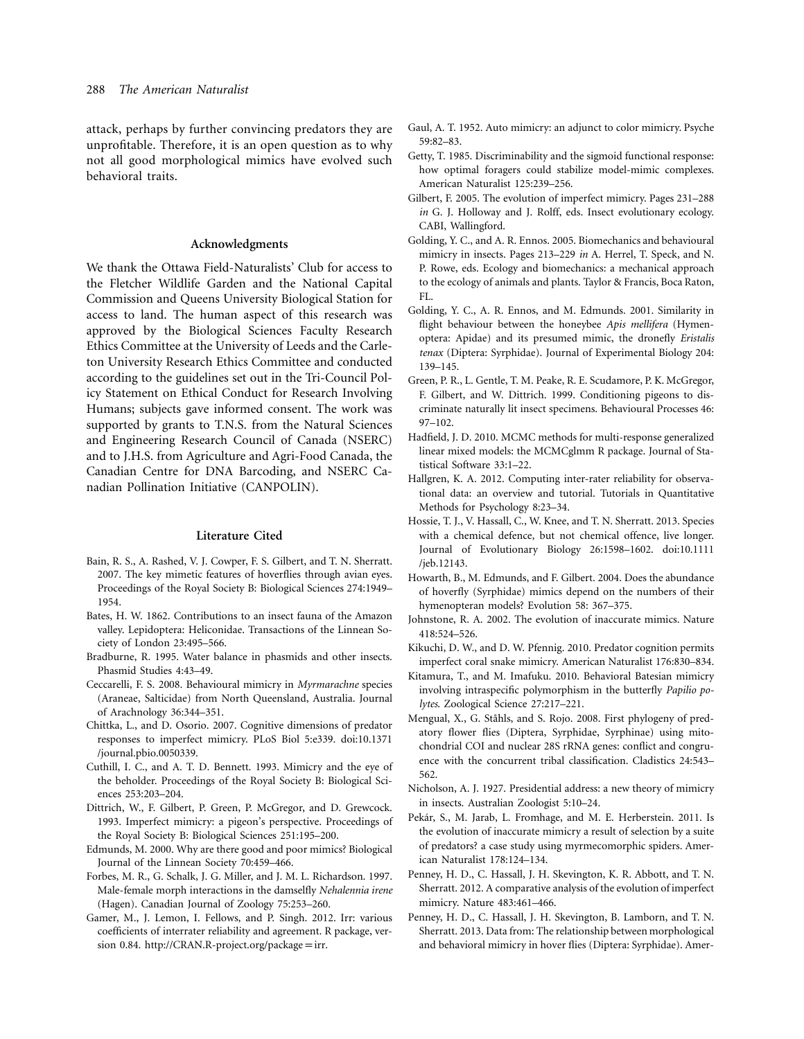attack, perhaps by further convincing predators they are unprofitable. Therefore, it is an open question as to why not all good morphological mimics have evolved such behavioral traits.

# **Acknowledgments**

We thank the Ottawa Field-Naturalists' Club for access to the Fletcher Wildlife Garden and the National Capital Commission and Queens University Biological Station for access to land. The human aspect of this research was approved by the Biological Sciences Faculty Research Ethics Committee at the University of Leeds and the Carleton University Research Ethics Committee and conducted according to the guidelines set out in the Tri-Council Policy Statement on Ethical Conduct for Research Involving Humans; subjects gave informed consent. The work was supported by grants to T.N.S. from the Natural Sciences and Engineering Research Council of Canada (NSERC) and to J.H.S. from Agriculture and Agri-Food Canada, the Canadian Centre for DNA Barcoding, and NSERC Canadian Pollination Initiative (CANPOLIN).

#### **Literature Cited**

- Bain, R. S., A. Rashed, V. J. Cowper, F. S. Gilbert, and T. N. Sherratt. 2007. The key mimetic features of hoverflies through avian eyes. Proceedings of the Royal Society B: Biological Sciences 274:1949– 1954.
- Bates, H. W. 1862. Contributions to an insect fauna of the Amazon valley. Lepidoptera: Heliconidae. Transactions of the Linnean Society of London 23:495–566.
- Bradburne, R. 1995. Water balance in phasmids and other insects. Phasmid Studies 4:43–49.
- Ceccarelli, F. S. 2008. Behavioural mimicry in *Myrmarachne* species (Araneae, Salticidae) from North Queensland, Australia. Journal of Arachnology 36:344–351.
- Chittka, L., and D. Osorio. 2007. Cognitive dimensions of predator responses to imperfect mimicry. PLoS Biol 5:e339. doi:10.1371 /journal.pbio.0050339.
- Cuthill, I. C., and A. T. D. Bennett. 1993. Mimicry and the eye of the beholder. Proceedings of the Royal Society B: Biological Sciences 253:203–204.
- Dittrich, W., F. Gilbert, P. Green, P. McGregor, and D. Grewcock. 1993. Imperfect mimicry: a pigeon's perspective. Proceedings of the Royal Society B: Biological Sciences 251:195–200.
- Edmunds, M. 2000. Why are there good and poor mimics? Biological Journal of the Linnean Society 70:459–466.
- Forbes, M. R., G. Schalk, J. G. Miller, and J. M. L. Richardson. 1997. Male-female morph interactions in the damselfly *Nehalennia irene* (Hagen). Canadian Journal of Zoology 75:253–260.
- Gamer, M., J. Lemon, I. Fellows, and P. Singh. 2012. Irr: various coefficients of interrater reliability and agreement. R package, version 0.84. [http://CRAN.R-project.org/package](http://CRAN.R-project.org/package=irr)=irr.
- Gaul, A. T. 1952. Auto mimicry: an adjunct to color mimicry. Psyche 59:82–83.
- Getty, T. 1985. Discriminability and the sigmoid functional response: how optimal foragers could stabilize model-mimic complexes. American Naturalist 125:239–256.
- Gilbert, F. 2005. The evolution of imperfect mimicry. Pages 231–288 *in* G. J. Holloway and J. Rolff, eds. Insect evolutionary ecology. CABI, Wallingford.
- Golding, Y. C., and A. R. Ennos. 2005. Biomechanics and behavioural mimicry in insects. Pages 213–229 *in* A. Herrel, T. Speck, and N. P. Rowe, eds. Ecology and biomechanics: a mechanical approach to the ecology of animals and plants. Taylor & Francis, Boca Raton, FL.
- Golding, Y. C., A. R. Ennos, and M. Edmunds. 2001. Similarity in flight behaviour between the honeybee *Apis mellifera* (Hymenoptera: Apidae) and its presumed mimic, the dronefly *Eristalis tenax* (Diptera: Syrphidae). Journal of Experimental Biology 204: 139–145.
- Green, P. R., L. Gentle, T. M. Peake, R. E. Scudamore, P. K. McGregor, F. Gilbert, and W. Dittrich. 1999. Conditioning pigeons to discriminate naturally lit insect specimens. Behavioural Processes 46: 97–102.
- Hadfield, J. D. 2010. MCMC methods for multi-response generalized linear mixed models: the MCMCglmm R package. Journal of Statistical Software 33:1–22.
- Hallgren, K. A. 2012. Computing inter-rater reliability for observational data: an overview and tutorial. Tutorials in Quantitative Methods for Psychology 8:23–34.
- Hossie, T. J., V. Hassall, C., W. Knee, and T. N. Sherratt. 2013. Species with a chemical defence, but not chemical offence, live longer. Journal of Evolutionary Biology 26:1598–1602. doi:10.1111 /jeb.12143.
- Howarth, B., M. Edmunds, and F. Gilbert. 2004. Does the abundance of hoverfly (Syrphidae) mimics depend on the numbers of their hymenopteran models? Evolution 58: 367–375.
- Johnstone, R. A. 2002. The evolution of inaccurate mimics. Nature 418:524–526.
- Kikuchi, D. W., and D. W. Pfennig. 2010. Predator cognition permits imperfect coral snake mimicry. American Naturalist 176:830–834.
- Kitamura, T., and M. Imafuku. 2010. Behavioral Batesian mimicry involving intraspecific polymorphism in the butterfly *Papilio polytes*. Zoological Science 27:217–221.
- Mengual, X., G. Ståhls, and S. Rojo. 2008. First phylogeny of predatory flower flies (Diptera, Syrphidae, Syrphinae) using mitochondrial COI and nuclear 28S rRNA genes: conflict and congruence with the concurrent tribal classification. Cladistics 24:543– 562.
- Nicholson, A. J. 1927. Presidential address: a new theory of mimicry in insects. Australian Zoologist 5:10–24.
- Pekár, S., M. Jarab, L. Fromhage, and M. E. Herberstein. 2011. Is the evolution of inaccurate mimicry a result of selection by a suite of predators? a case study using myrmecomorphic spiders. American Naturalist 178:124–134.
- Penney, H. D., C. Hassall, J. H. Skevington, K. R. Abbott, and T. N. Sherratt. 2012. A comparative analysis of the evolution of imperfect mimicry. Nature 483:461–466.
- Penney, H. D., C. Hassall, J. H. Skevington, B. Lamborn, and T. N. Sherratt. 2013. Data from: The relationship between morphological and behavioral mimicry in hover flies (Diptera: Syrphidae). Amer-